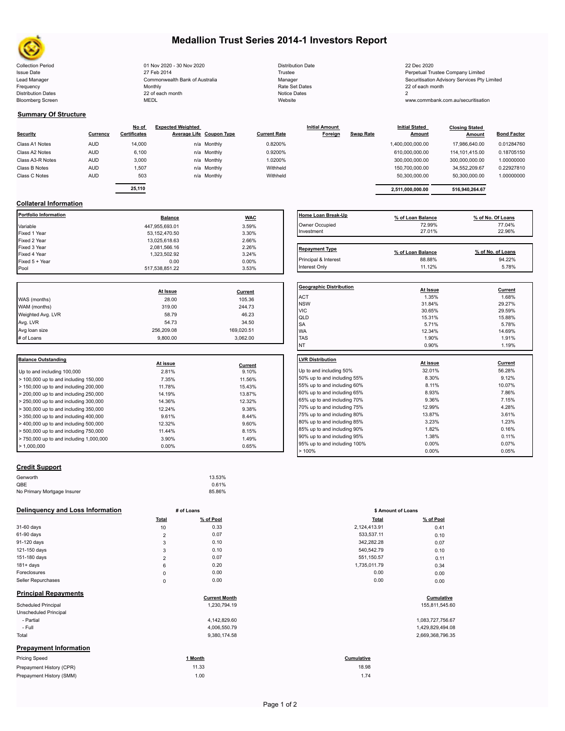

# **Medallion Trust Series 2014-1 Investors Report**

| <b>Collection Period</b>  | 01 Nov 2020 - 30 Nov 2020      | <b>Distribution Date</b> | 22 Dec 2020                                  |
|---------------------------|--------------------------------|--------------------------|----------------------------------------------|
| <b>Issue Date</b>         | 27 Feb 2014                    | Trustee                  | Perpetual Trustee Company Limited            |
| Lead Manager              | Commonwealth Bank of Australia | Manager                  | Securitisation Advisory Services Pty Limited |
| Frequency                 | Monthly                        | Rate Set Dates           | 22 of each month                             |
| <b>Distribution Dates</b> | 22 of each month               | Notice Dates             |                                              |
| <b>Bloomberg Screen</b>   | MEDL                           | Website                  | www.commbank.com.au/securitisation           |

| <b>Distribution Date</b> |
|--------------------------|
| Trustee                  |
| Manager                  |
| Rate Set Dates           |
| <b>Notice Dates</b>      |
| Website                  |

Interest Only 11.12% 5.78%

#### **Summary Of Structure**

| <b>Security</b>  | Currency   | No of<br><b>Certificates</b> | <b>Expected Weighted</b> | Average Life Coupon Type | <b>Current Rate</b> | <b>Initial Amount</b><br>Foreign | <b>Swap Rate</b> | <b>Initial Stated</b><br><b>Amount</b> | <b>Closing Stated</b><br>Amount | <b>Bond Factor</b> |
|------------------|------------|------------------------------|--------------------------|--------------------------|---------------------|----------------------------------|------------------|----------------------------------------|---------------------------------|--------------------|
| Class A1 Notes   | <b>AUD</b> | 14,000                       |                          | n/a Monthly              | 0.8200%             |                                  |                  | 1,400,000,000.00                       | 17.986.640.00                   | 0.01284760         |
| Class A2 Notes   | <b>AUD</b> | 6,100                        |                          | n/a Monthly              | 0.9200%             |                                  |                  | 610,000,000.00                         | 114.101.415.00                  | 0.18705150         |
| Class A3-R Notes | <b>AUD</b> | 3,000                        |                          | n/a Monthly              | 1.0200%             |                                  |                  | 300,000,000.00                         | 300,000,000.00                  | 1.00000000         |
| Class B Notes    | <b>AUD</b> | 1.507                        |                          | n/a Monthly              | Withheld            |                                  |                  | 150.700.000.00                         | 34.552.209.67                   | 0.22927810         |
| Class C Notes    | <b>AUD</b> | 503                          |                          | n/a Monthly              | Withheld            |                                  |                  | 50.300.000.00                          | 50,300,000.00                   | 1.00000000         |
|                  |            | 25,110                       |                          |                          |                     |                                  |                  | 2.511.000.000.00                       | 516.940.264.67                  |                    |

## **Collateral Information**

| <b>Balance</b> |          | l Home Loan Break⋅    |
|----------------|----------|-----------------------|
| 447.955.693.01 | 3.59%    | Owner Occupied        |
| 53,152,470.50  | 3.30%    | Investment            |
| 13,025,618.63  | 2.66%    |                       |
| 2,081,566.16   | 2.26%    | <b>Repayment Type</b> |
| 1.323.502.92   | 3.24%    |                       |
| 0.00           | $0.00\%$ | Principal & Interest  |
| 517.538.851.22 | 3.53%    | Interest Only         |
|                |          | <b>WAC</b>            |

|                   |            |            | Geo              |
|-------------------|------------|------------|------------------|
|                   | At Issue   | Current    |                  |
| WAS (months)      | 28.00      | 105.36     | AC <sup>-</sup>  |
| WAM (months)      | 319.00     | 244.73     | <b>NS</b><br>VIC |
| Weighted Avg. LVR | 58.79      | 46.23      | QLI              |
| Avg. LVR          | 54.73      | 34.50      | <b>SA</b>        |
| Avg loan size     | 256.209.08 | 169,020.51 | <b>WA</b>        |
| # of Loans        | 9.800.00   | 3.062.00   | <b>TAS</b>       |
|                   |            |            |                  |

| <b>Balance Outstanding</b>                 | At issue | Current | LVR Distribution    |
|--------------------------------------------|----------|---------|---------------------|
| Up to and including 100,000                | 2.81%    | 9.10%   | Up to and including |
| $>$ 100,000 up to and including 150,000    | 7.35%    | 11.56%  | 50% up to and incl  |
| $>$ 150,000 up to and including 200,000    | 11.78%   | 15.43%  | 55% up to and incl  |
| $>$ 200,000 up to and including 250,000    | 14.19%   | 13.87%  | 60% up to and incl  |
| $\geq$ 250,000 up to and including 300,000 | 14.36%   | 12.32%  | 65% up to and incl  |
| $\geq$ 300,000 up to and including 350,000 | 12.24%   | 9.38%   | 70% up to and incl  |
| $>$ 350,000 up to and including 400,000    | 9.61%    | 8.44%   | 75% up to and incl  |
| $>$ 400,000 up to and including 500,000    | 12.32%   | 9.60%   | 80% up to and incl  |
| $\geq 500,000$ up to and including 750,000 | 11.44%   | 8.15%   | 85% up to and incl  |
| $> 750,000$ up to and including 1,000,000  | 3.90%    | 1.49%   | 90% up to and incl  |
| $\blacktriangleright$ 1.000.000            | $0.00\%$ | 0.65%   | 95% up to and incl  |

### **Credit Support**

| Genworth                    | 13.53% |
|-----------------------------|--------|
| QBE                         | 0.61%  |
| No Primary Mortgage Insurer | 85.86% |

#### **Delinquency and Loss Information # of Loans**

|                               | Total                   | % of Pool            | <b>Total</b> | % of Pool        |
|-------------------------------|-------------------------|----------------------|--------------|------------------|
| 31-60 days                    | 10                      | 0.33                 | 2,124,413.91 | 0.41             |
| 61-90 days                    | $\overline{\mathbf{c}}$ | 0.07                 | 533,537.11   | 0.10             |
| 91-120 days                   | 3                       | 0.10                 | 342,282.28   | 0.07             |
| 121-150 days                  | 3                       | 0.10                 | 540,542.79   | 0.10             |
| 151-180 days                  | $\overline{2}$          | 0.07                 | 551,150.57   | 0.11             |
| $181 + days$                  | 6                       | 0.20                 | 1,735,011.79 | 0.34             |
| Foreclosures                  | $\pmb{0}$               | 0.00                 | 0.00         | 0.00             |
| Seller Repurchases            | $\mathbf 0$             | 0.00                 | 0.00         | 0.00             |
| <b>Principal Repayments</b>   |                         | <b>Current Month</b> |              | Cumulative       |
| <b>Scheduled Principal</b>    |                         | 1,230,794.19         |              | 155,811,545.60   |
| Unscheduled Principal         |                         |                      |              |                  |
| - Partial                     |                         | 4,142,829.60         |              | 1,083,727,756.67 |
| - Full                        |                         | 4,006,550.79         |              | 1,429,829,494.08 |
| Total                         |                         | 9,380,174.58         |              | 2,669,368,796.35 |
| <b>Prepayment Information</b> |                         |                      |              |                  |
| <b>Pricing Speed</b>          |                         | 1 Month              | Cumulative   |                  |
| Prepayment History (CPR)      |                         | 11.33                | 18.98        |                  |
| Prepayment History (SMM)      |                         | 1.00                 | 1.74         |                  |

| Home Loan Break-Up    | % of Loan Balance | % of No. Of Loans |
|-----------------------|-------------------|-------------------|
| Owner Occupied        | 72.99%            | 77.04%            |
| Investment            | 27.01%            | 22.96%            |
|                       |                   |                   |
|                       |                   |                   |
| <b>Repayment Type</b> | % of Loan Balance | % of No. of Loans |

| <b>Geographic Distribution</b><br>At Issue<br><b>ACT</b><br>1.35%<br><b>NSW</b><br>31.84%<br><b>VIC</b><br>30.65%<br>QLD<br>15.31% | Current<br>1.68%<br>29.27%<br>29.59% |
|------------------------------------------------------------------------------------------------------------------------------------|--------------------------------------|
|                                                                                                                                    |                                      |
|                                                                                                                                    |                                      |
|                                                                                                                                    |                                      |
|                                                                                                                                    |                                      |
|                                                                                                                                    | 15.88%                               |
| <b>SA</b><br>5.71%                                                                                                                 | 5.78%                                |
| <b>WA</b><br>12.34%                                                                                                                | 14.69%                               |
| <b>TAS</b><br>1.90%                                                                                                                | 1.91%                                |
| <b>NT</b><br>0.90%                                                                                                                 | 1.19%                                |
|                                                                                                                                    |                                      |
| <b>LVR Distribution</b><br>At issue                                                                                                | Current                              |
| Up to and including 50%<br>32.01%                                                                                                  | 56.28%                               |
| 50% up to and including 55%<br>8.30%                                                                                               | 9.12%                                |
| 8.11%<br>55% up to and including 60%                                                                                               | 10.07%                               |
| 60% up to and including 65%<br>8.93%                                                                                               | 7.86%                                |
| 65% up to and including 70%<br>9.36%                                                                                               | 7.15%                                |
| 70% up to and including 75%<br>12.99%                                                                                              | 4.28%                                |
| 75% up to and including 80%<br>13.87%                                                                                              | 3.61%                                |
| 80% up to and including 85%<br>3.23%                                                                                               | 1.23%                                |
| 1.82%<br>85% up to and including 90%                                                                                               | 0.16%                                |
| 90% up to and including 95%<br>1.38%                                                                                               | 0.11%                                |
| 95% up to and including 100%<br>$0.00\%$                                                                                           | 0.07%                                |
| >100%<br>0.00%                                                                                                                     | 0.05%                                |

| # of Loans     |           | \$ Amount of Loans |           |  |
|----------------|-----------|--------------------|-----------|--|
| Total          | % of Pool | <b>Total</b>       | % of Pool |  |
| 10             | 0.33      | 2,124,413.91       | 0.41      |  |
| $\overline{2}$ | 0.07      | 533,537.11         | 0.10      |  |
| 3              | 0.10      | 342,282.28         | 0.07      |  |
| 3              | 0.10      | 540,542.79         | 0.10      |  |
| 2              | 0.07      | 551,150.57         | 0.11      |  |
| 6              | 0.20      | 1,735,011.79       | 0.34      |  |
| 0              | 0.00      | 0.00               | 0.00      |  |
| $\mathbf 0$    | 0.00      | 0.00               | 0.00      |  |

# **Cumulative**<br>19.311,545.60<br>19.311,545.60